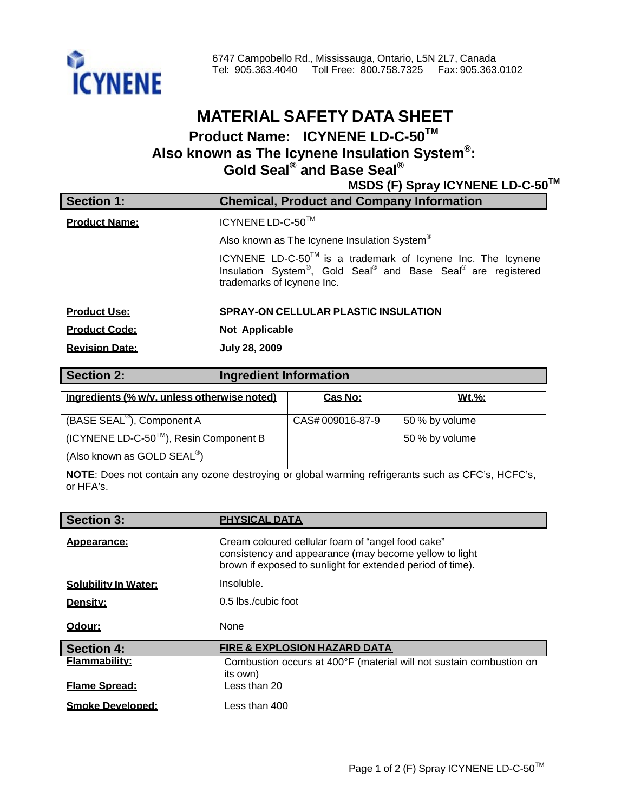

## **MATERIAL SAFETY DATA SHEET Product Name: ICYNENE LD-C-50TM Also known as The Icynene Insulation System®: Gold Seal ® and Base Seal ®**

**MSDS (F) Spray ICYNENE LD-C-50TM**

| <b>Section 1:</b>     | <b>Chemical, Product and Company Information</b>                                                                                                          |
|-----------------------|-----------------------------------------------------------------------------------------------------------------------------------------------------------|
| <b>Product Name:</b>  | ICYNENE LD-C-50 <sup>TM</sup>                                                                                                                             |
|                       | Also known as The Icynene Insulation System®                                                                                                              |
|                       | ICYNENE LD-C-50™ is a trademark of Icynene Inc. The Icynene<br>Insulation System®, Gold Seal® and Base Seal® are registered<br>trademarks of Icynene Inc. |
| <b>Product Use:</b>   | <b>SPRAY-ON CELLULAR PLASTIC INSULATION</b>                                                                                                               |
| <b>Product Code:</b>  | <b>Not Applicable</b>                                                                                                                                     |
| <b>Revision Date:</b> | <b>July 28, 2009</b>                                                                                                                                      |

| Section 2:                                                                                               | <b>Ingredient Information</b> |                |  |  |
|----------------------------------------------------------------------------------------------------------|-------------------------------|----------------|--|--|
| Ingredients (% w/v. unless otherwise noted)                                                              | Cas No:                       | Wt.%:          |  |  |
| (BASE SEAL <sup>®</sup> ), Component A                                                                   | CAS#009016-87-9               | 50 % by volume |  |  |
| $(ICYNENE LD-C-501M)$ , Resin Component B<br>(Also known as GOLD SEAL <sup>®</sup> )                     |                               | 50 % by volume |  |  |
| <b>NOTE:</b> Does not contain any ozone destroying or global warming refrigerants such as CFC's, HCFC's, |                               |                |  |  |

or HFA's.

| <b>Section 3:</b>           | <b>PHYSICAL DATA</b>                                                                                                                                                      |
|-----------------------------|---------------------------------------------------------------------------------------------------------------------------------------------------------------------------|
| Appearance:                 | Cream coloured cellular foam of "angel food cake"<br>consistency and appearance (may become yellow to light<br>brown if exposed to sunlight for extended period of time). |
| <b>Solubility In Water:</b> | Insoluble.                                                                                                                                                                |
| Density:                    | 0.5 lbs./cubic foot                                                                                                                                                       |
| Odour:                      | None                                                                                                                                                                      |
| <b>Section 4:</b>           | <b>FIRE &amp; EXPLOSION HAZARD DATA</b>                                                                                                                                   |
| <b>Flammability:</b>        | Combustion occurs at 400°F (material will not sustain combustion on<br>its own)                                                                                           |
| <b>Flame Spread:</b>        | Less than 20                                                                                                                                                              |
| <b>Smoke Developed:</b>     | Less than 400                                                                                                                                                             |